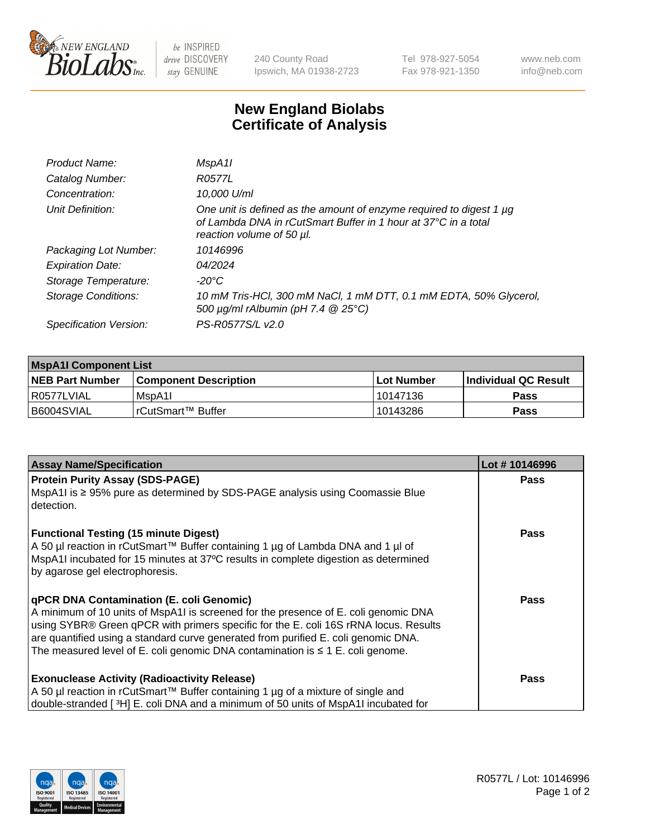

 $be$  INSPIRED drive DISCOVERY stay GENUINE

240 County Road Ipswich, MA 01938-2723 Tel 978-927-5054 Fax 978-921-1350 www.neb.com info@neb.com

## **New England Biolabs Certificate of Analysis**

| MspA11                                                                                                                                                             |
|--------------------------------------------------------------------------------------------------------------------------------------------------------------------|
| R0577L                                                                                                                                                             |
| 10,000 U/ml                                                                                                                                                        |
| One unit is defined as the amount of enzyme required to digest 1 µg<br>of Lambda DNA in rCutSmart Buffer in 1 hour at 37°C in a total<br>reaction volume of 50 µl. |
| 10146996                                                                                                                                                           |
| 04/2024                                                                                                                                                            |
| $-20^{\circ}$ C                                                                                                                                                    |
| 10 mM Tris-HCl, 300 mM NaCl, 1 mM DTT, 0.1 mM EDTA, 50% Glycerol,<br>500 $\mu$ g/ml rAlbumin (pH 7.4 $@$ 25°C)                                                     |
| PS-R0577S/L v2.0                                                                                                                                                   |
|                                                                                                                                                                    |

| <b>MspA1I Component List</b> |                              |             |                             |  |  |
|------------------------------|------------------------------|-------------|-----------------------------|--|--|
| <b>NEB Part Number</b>       | <b>Component Description</b> | ∣Lot Number | <b>Individual QC Result</b> |  |  |
| I R0577LVIAL                 | IMspA1I                      | 10147136    | Pass                        |  |  |
| I B6004SVIAL                 | IrCutSmart™ Buffer           | 10143286    | <b>Pass</b>                 |  |  |

| <b>Assay Name/Specification</b>                                                                                                                                                                                                                                                                                                                                                                             | Lot #10146996 |
|-------------------------------------------------------------------------------------------------------------------------------------------------------------------------------------------------------------------------------------------------------------------------------------------------------------------------------------------------------------------------------------------------------------|---------------|
| <b>Protein Purity Assay (SDS-PAGE)</b>                                                                                                                                                                                                                                                                                                                                                                      | <b>Pass</b>   |
| NspA1I is ≥ 95% pure as determined by SDS-PAGE analysis using Coomassie Blue<br>detection.                                                                                                                                                                                                                                                                                                                  |               |
| <b>Functional Testing (15 minute Digest)</b><br>  A 50 µl reaction in rCutSmart™ Buffer containing 1 µg of Lambda DNA and 1 µl of<br>MspA1I incubated for 15 minutes at 37°C results in complete digestion as determined<br>by agarose gel electrophoresis.                                                                                                                                                 | <b>Pass</b>   |
| <b>qPCR DNA Contamination (E. coli Genomic)</b><br>A minimum of 10 units of MspA1I is screened for the presence of E. coli genomic DNA<br>using SYBR® Green qPCR with primers specific for the E. coli 16S rRNA locus. Results<br>are quantified using a standard curve generated from purified E. coli genomic DNA.<br>The measured level of E. coli genomic DNA contamination is $\leq 1$ E. coli genome. | Pass          |
| <b>Exonuclease Activity (Radioactivity Release)</b>                                                                                                                                                                                                                                                                                                                                                         | <b>Pass</b>   |
| A 50 µl reaction in rCutSmart™ Buffer containing 1 µg of a mixture of single and                                                                                                                                                                                                                                                                                                                            |               |
| double-stranded [3H] E. coli DNA and a minimum of 50 units of MspA1I incubated for                                                                                                                                                                                                                                                                                                                          |               |